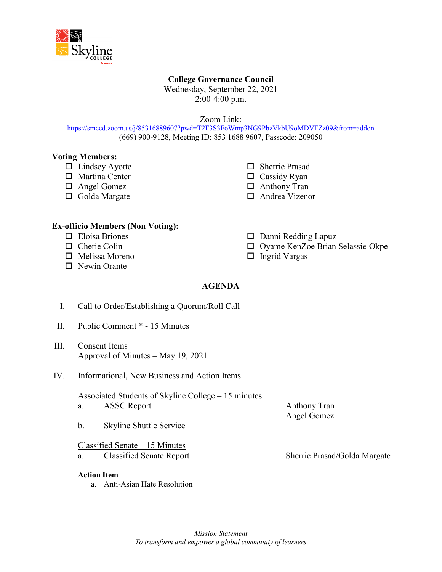

# **College Governance Council**

Wednesday, September 22, 2021 2:00-4:00 p.m.

Zoom Link:

<https://smccd.zoom.us/j/85316889607?pwd=T2F3S3FoWmp3NG9PbzVkbU9oMDVFZz09&from=addon> (669) 900-9128, Meeting ID: 853 1688 9607, Passcode: 209050

### **Voting Members:**

- $\Box$  Lindsey Ayotte
- □ Martina Center
- □ Angel Gomez
- □ Golda Margate
- □ Sherrie Prasad
- $\Box$  Cassidy Ryan
- □ Anthony Tran
- □ Andrea Vizenor

### **Ex-officio Members (Non Voting):**

- $\Box$  Eloisa Briones
- $\Box$  Cherie Colin
- $\Box$  Melissa Moreno
- □ Newin Orante
- $\Box$  Danni Redding Lapuz
- □ Oyame KenZoe Brian Selassie-Okpe
- $\Box$  Ingrid Vargas

# **AGENDA**

- I. Call to Order/Establishing a Quorum/Roll Call
- II. Public Comment \* 15 Minutes
- III. Consent Items Approval of Minutes – May 19, 2021
- IV. Informational, New Business and Action Items

# Associated Students of Skyline College – 15 minutes

- a. ASSC Report Anthony Tran
- b. Skyline Shuttle Service

### Classified Senate – 15 Minutes

a. Classified Senate Report Sherrie Prasad/Golda Margate

#### **Action Item**

a. Anti-Asian Hate Resolution

Angel Gomez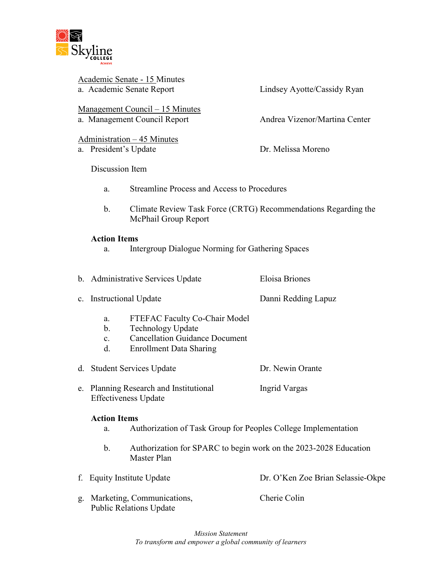

Academic Senate - 15 Minutes a. Academic Senate Report Lindsey Ayotte/Cassidy Ryan

Management Council – 15 Minutes a. Management Council Report Andrea Vizenor/Martina Center

Administration – 45 Minutes

a. President's Update Dr. Melissa Moreno

Discussion Item

- a. Streamline Process and Access to Procedures
- b. Climate Review Task Force (CRTG) Recommendations Regarding the McPhail Group Report

### **Action Items**

a. Intergroup Dialogue Norming for Gathering Spaces

b. Administrative Services Update Eloisa Briones

- c. Instructional Update Danni Redding Lapuz
	- a. FTEFAC Faculty Co-Chair Model
	- b. Technology Update
	- c. Cancellation Guidance Document
	- d. Enrollment Data Sharing

d. Student Services Update Dr. Newin Orante

e. Planning Research and Institutional Ingrid Vargas Effectiveness Update

### **Action Items**

- a. Authorization of Task Group for Peoples College Implementation
- b. Authorization for SPARC to begin work on the 2023-2028 Education Master Plan
- f. Equity Institute Update **Dr. O'Ken Zoe Brian Selassie-Okpe**
- g. Marketing, Communications, Cherie Colin Public Relations Update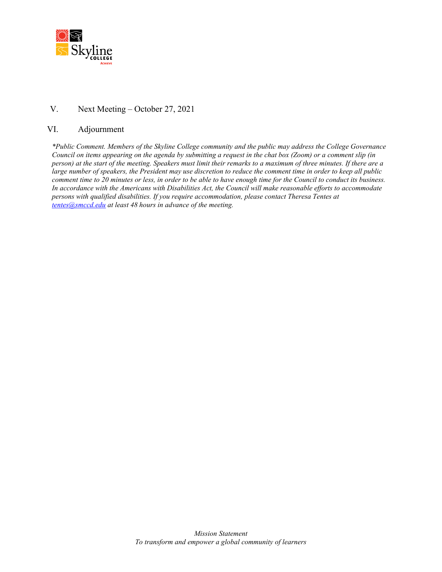

# V. Next Meeting – October 27, 2021

#### VI. Adjournment

*\*Public Comment. Members of the Skyline College community and the public may address the College Governance Council on items appearing on the agenda by submitting a request in the chat box (Zoom) or a comment slip (in person) at the start of the meeting. Speakers must limit their remarks to a maximum of three minutes. If there are a large number of speakers, the President may use discretion to reduce the comment time in order to keep all public comment time to 20 minutes or less, in order to be able to have enough time for the Council to conduct its business. In accordance with the Americans with Disabilities Act, the Council will make reasonable efforts to accommodate persons with qualified disabilities. If you require accommodation, please contact Theresa Tentes at [tentes@smccd.edu](mailto:tentes@smccd.edu) at least 48 hours in advance of the meeting.*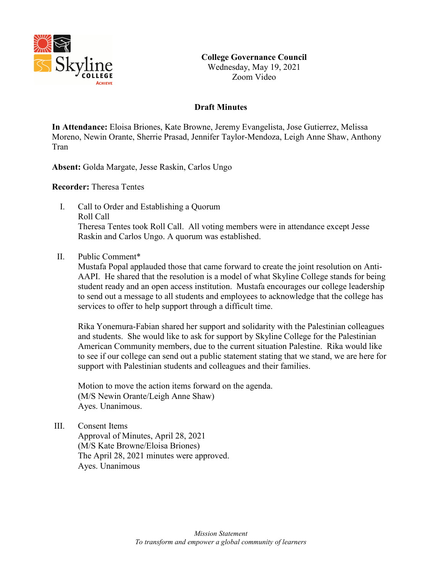

# **Draft Minutes**

**In Attendance:** Eloisa Briones, Kate Browne, Jeremy Evangelista, Jose Gutierrez, Melissa Moreno, Newin Orante, Sherrie Prasad, Jennifer Taylor-Mendoza, Leigh Anne Shaw, Anthony Tran

**Absent:** Golda Margate, Jesse Raskin, Carlos Ungo

**Recorder:** Theresa Tentes

- I. Call to Order and Establishing a Quorum Roll Call Theresa Tentes took Roll Call. All voting members were in attendance except Jesse Raskin and Carlos Ungo. A quorum was established.
- II. Public Comment\*

Mustafa Popal applauded those that came forward to create the joint resolution on Anti-AAPI. He shared that the resolution is a model of what Skyline College stands for being student ready and an open access institution. Mustafa encourages our college leadership to send out a message to all students and employees to acknowledge that the college has services to offer to help support through a difficult time.

Rika Yonemura-Fabian shared her support and solidarity with the Palestinian colleagues and students. She would like to ask for support by Skyline College for the Palestinian American Community members, due to the current situation Palestine. Rika would like to see if our college can send out a public statement stating that we stand, we are here for support with Palestinian students and colleagues and their families.

Motion to move the action items forward on the agenda. (M/S Newin Orante/Leigh Anne Shaw) Ayes. Unanimous.

III. Consent Items Approval of Minutes, April 28, 2021 (M/S Kate Browne/Eloisa Briones) The April 28, 2021 minutes were approved. Ayes. Unanimous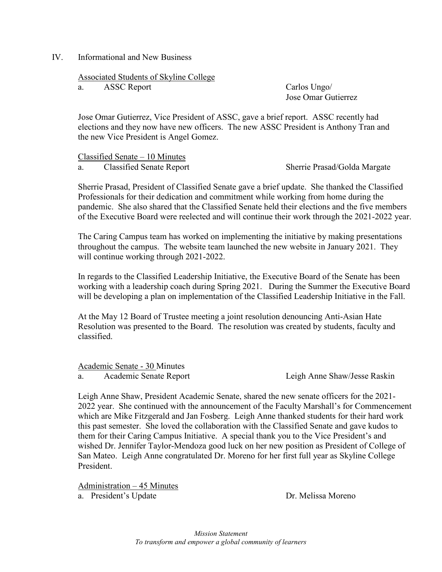#### IV. Informational and New Business

Associated Students of Skyline College

a. ASSC Report Carlos Ungo/

Jose Omar Gutierrez

Jose Omar Gutierrez, Vice President of ASSC, gave a brief report. ASSC recently had elections and they now have new officers. The new ASSC President is Anthony Tran and the new Vice President is Angel Gomez.

Classified Senate – 10 Minutes

a. Classified Senate Report Sherrie Prasad/Golda Margate

Sherrie Prasad, President of Classified Senate gave a brief update. She thanked the Classified Professionals for their dedication and commitment while working from home during the pandemic. She also shared that the Classified Senate held their elections and the five members of the Executive Board were reelected and will continue their work through the 2021-2022 year.

The Caring Campus team has worked on implementing the initiative by making presentations throughout the campus. The website team launched the new website in January 2021. They will continue working through 2021-2022.

In regards to the Classified Leadership Initiative, the Executive Board of the Senate has been working with a leadership coach during Spring 2021. During the Summer the Executive Board will be developing a plan on implementation of the Classified Leadership Initiative in the Fall.

At the May 12 Board of Trustee meeting a joint resolution denouncing Anti-Asian Hate Resolution was presented to the Board. The resolution was created by students, faculty and classified.

Academic Senate - 30 Minutes

a. Academic Senate Report Leigh Anne Shaw/Jesse Raskin

Leigh Anne Shaw, President Academic Senate, shared the new senate officers for the 2021- 2022 year. She continued with the announcement of the Faculty Marshall's for Commencement which are Mike Fitzgerald and Jan Fosberg. Leigh Anne thanked students for their hard work this past semester. She loved the collaboration with the Classified Senate and gave kudos to them for their Caring Campus Initiative. A special thank you to the Vice President's and wished Dr. Jennifer Taylor-Mendoza good luck on her new position as President of College of San Mateo. Leigh Anne congratulated Dr. Moreno for her first full year as Skyline College President.

Administration – 45 Minutes

a. President's Update Dr. Melissa Moreno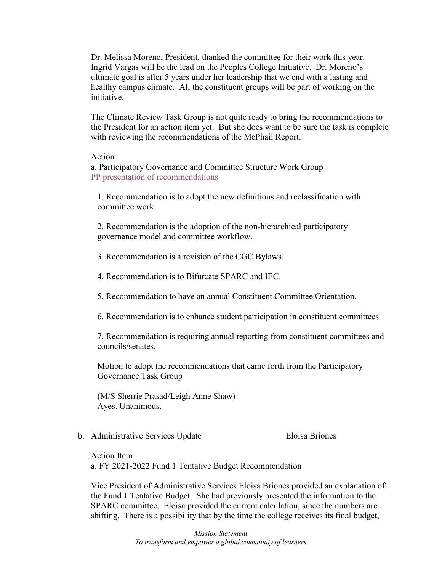Dr. Melissa Moreno, President, thanked the committee for their work this year. Ingrid Vargas will be the lead on the Peoples College Initiative. Dr. Moreno's ultimate goal is after 5 years under her leadership that we end with a lasting and healthy campus climate. All the constituent groups will be part of working on the initiative.

The Climate Review Task Group is not quite ready to bring the recommendations to the President for an action item yet. But she does want to be sure the task is complete with reviewing the recommendations of the McPhail Report.

#### Action

a. Participatory Governance and Committee Structure Work Group [PP presentation of recommendations](https://skylinecollege.edu/collegegovernancecouncil/assets/documents/agendasminutes/2020_2021/agendas/2021-0519%20Participatory%20Governance%20Work%20Group.pdf)

1. Recommendation is to adopt the new definitions and reclassification with committee work.

2. Recommendation is the adoption of the non-hierarchical participatory governance model and committee workflow.

3. Recommendation is a revision of the CGC Bylaws.

4. Recommendation is to Bifurcate SPARC and IEC.

5. Recommendation to have an annual Constituent Committee Orientation.

6. Recommendation is to enhance student participation in constituent committees

7. Recommendation is requiring annual reporting from constituent committees and councils/senates.

Motion to adopt the recommendations that came forth from the Participatory Governance Task Group

(M/S Sherrie Prasad/Leigh Anne Shaw) Ayes. Unanimous.

b. Administrative Services Update Eloisa Briones

Action Item a. FY 2021-2022 Fund 1 Tentative Budget Recommendation

Vice President of Administrative Services Eloisa Briones provided an explanation of the Fund 1 Tentative Budget. She had previously presented the information to the SPARC committee. Eloisa provided the current calculation, since the numbers are shifting. There is a possibility that by the time the college receives its final budget,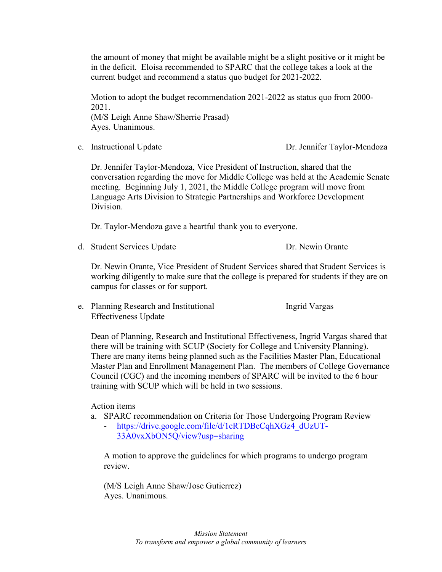the amount of money that might be available might be a slight positive or it might be in the deficit. Eloisa recommended to SPARC that the college takes a look at the current budget and recommend a status quo budget for 2021-2022.

Motion to adopt the budget recommendation 2021-2022 as status quo from 2000- 2021. (M/S Leigh Anne Shaw/Sherrie Prasad) Ayes. Unanimous.

c. Instructional Update Dr. Jennifer Taylor-Mendoza

Dr. Jennifer Taylor-Mendoza, Vice President of Instruction, shared that the conversation regarding the move for Middle College was held at the Academic Senate meeting. Beginning July 1, 2021, the Middle College program will move from Language Arts Division to Strategic Partnerships and Workforce Development Division.

Dr. Taylor-Mendoza gave a heartful thank you to everyone.

d. Student Services Update Dr. Newin Orante

Dr. Newin Orante, Vice President of Student Services shared that Student Services is working diligently to make sure that the college is prepared for students if they are on campus for classes or for support.

e. Planning Research and Institutional Ingrid Vargas Effectiveness Update

Dean of Planning, Research and Institutional Effectiveness, Ingrid Vargas shared that there will be training with SCUP (Society for College and University Planning). There are many items being planned such as the Facilities Master Plan, Educational Master Plan and Enrollment Management Plan. The members of College Governance Council (CGC) and the incoming members of SPARC will be invited to the 6 hour training with SCUP which will be held in two sessions.

Action items

- a. SPARC recommendation on Criteria for Those Undergoing Program Review
	- [https://drive.google.com/file/d/1cRTDBeCqhXGz4\\_dUzUT-](https://drive.google.com/file/d/1cRTDBeCqhXGz4_dUzUT-33A0vxXbON5Q/view?usp=sharing)[33A0vxXbON5Q/view?usp=sharing](https://drive.google.com/file/d/1cRTDBeCqhXGz4_dUzUT-33A0vxXbON5Q/view?usp=sharing)

A motion to approve the guidelines for which programs to undergo program review.

(M/S Leigh Anne Shaw/Jose Gutierrez) Ayes. Unanimous.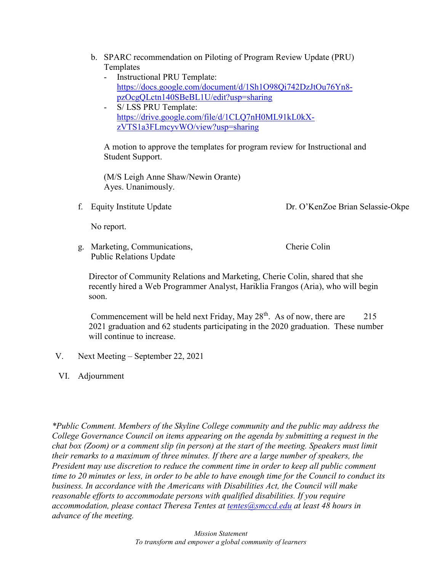- b. SPARC recommendation on Piloting of Program Review Update (PRU) Templates
	- Instructional PRU Template: [https://docs.google.com/document/d/1Sh1O98Qi742DzJtOu76Yn8](https://docs.google.com/document/d/1Sh1O98Qi742DzJtOu76Yn8-pzOcgQLctn140SBeBL1U/edit?usp=sharing) [pzOcgQLctn140SBeBL1U/edit?usp=sharing](https://docs.google.com/document/d/1Sh1O98Qi742DzJtOu76Yn8-pzOcgQLctn140SBeBL1U/edit?usp=sharing)
	- S/ LSS PRU Template: [https://drive.google.com/file/d/1CLQ7nH0ML91kL0kX](https://drive.google.com/file/d/1CLQ7nH0ML91kL0kX-zVTS1a3FLmcyvWO/view?usp=sharing)[zVTS1a3FLmcyvWO/view?usp=sharing](https://drive.google.com/file/d/1CLQ7nH0ML91kL0kX-zVTS1a3FLmcyvWO/view?usp=sharing)

A motion to approve the templates for program review for Instructional and Student Support.

(M/S Leigh Anne Shaw/Newin Orante) Ayes. Unanimously.

f. Equity Institute Update Dr. O'KenZoe Brian Selassie-Okpe

No report.

g. Marketing, Communications, Cherie Colin Public Relations Update

Director of Community Relations and Marketing, Cherie Colin, shared that she recently hired a Web Programmer Analyst, Hariklia Frangos (Aria), who will begin soon.

Commencement will be held next Friday, May  $28<sup>th</sup>$ . As of now, there are 215 2021 graduation and 62 students participating in the 2020 graduation. These number will continue to increase.

- V. Next Meeting September 22, 2021
- VI. Adjournment

*\*Public Comment. Members of the Skyline College community and the public may address the College Governance Council on items appearing on the agenda by submitting a request in the chat box (Zoom) or a comment slip (in person) at the start of the meeting. Speakers must limit their remarks to a maximum of three minutes. If there are a large number of speakers, the President may use discretion to reduce the comment time in order to keep all public comment time to 20 minutes or less, in order to be able to have enough time for the Council to conduct its business. In accordance with the Americans with Disabilities Act, the Council will make reasonable efforts to accommodate persons with qualified disabilities. If you require accommodation, please contact Theresa Tentes at [tentes@smccd.edu](mailto:tentes@smccd.edu) at least 48 hours in advance of the meeting.*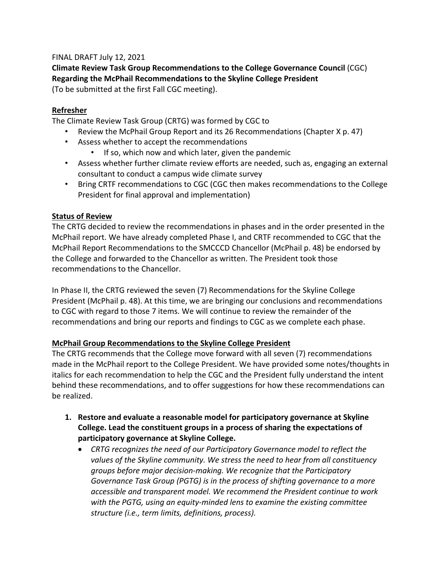### FINAL DRAFT July 12, 2021

**Climate Review Task Group Recommendations to the College Governance Council** (CGC) **Regarding the McPhail Recommendations to the Skyline College President** (To be submitted at the first Fall CGC meeting).

### **Refresher**

The Climate Review Task Group (CRTG) was formed by CGC to

- Review the McPhail Group Report and its 26 Recommendations (Chapter X p. 47)
- Assess whether to accept the recommendations
	- If so, which now and which later, given the pandemic
- Assess whether further climate review efforts are needed, such as, engaging an external consultant to conduct a campus wide climate survey
- Bring CRTF recommendations to CGC (CGC then makes recommendations to the College President for final approval and implementation)

# **Status of Review**

The CRTG decided to review the recommendations in phases and in the order presented in the McPhail report. We have already completed Phase I, and CRTF recommended to CGC that the McPhail Report Recommendations to the SMCCCD Chancellor (McPhail p. 48) be endorsed by the College and forwarded to the Chancellor as written. The President took those recommendations to the Chancellor.

In Phase II, the CRTG reviewed the seven (7) Recommendations for the Skyline College President (McPhail p. 48). At this time, we are bringing our conclusions and recommendations to CGC with regard to those 7 items. We will continue to review the remainder of the recommendations and bring our reports and findings to CGC as we complete each phase.

# **McPhail Group Recommendations to the Skyline College President**

The CRTG recommends that the College move forward with all seven (7) recommendations made in the McPhail report to the College President. We have provided some notes/thoughts in italics for each recommendation to help the CGC and the President fully understand the intent behind these recommendations, and to offer suggestions for how these recommendations can be realized.

- **1. Restore and evaluate a reasonable model for participatory governance at Skyline College. Lead the constituent groups in a process of sharing the expectations of participatory governance at Skyline College.**
	- *CRTG recognizes the need of our Participatory Governance model to reflect the values of the Skyline community. We stress the need to hear from all constituency groups before major decision-making. We recognize that the Participatory Governance Task Group (PGTG) is in the process of shifting governance to a more accessible and transparent model. We recommend the President continue to work with the PGTG, using an equity-minded lens to examine the existing committee structure (i.e., term limits, definitions, process).*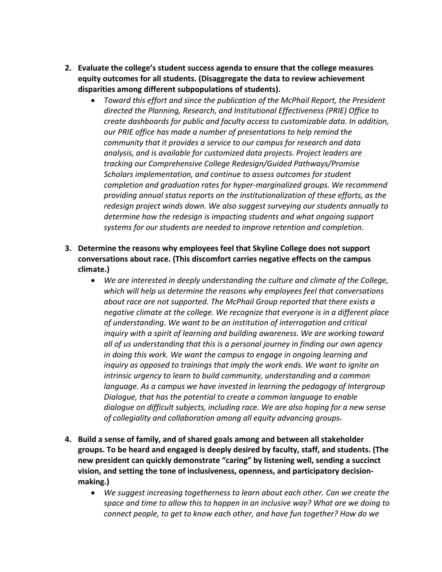- **2. Evaluate the college's student success agenda to ensure that the college measures equity outcomes for all students. (Disaggregate the data to review achievement disparities among different subpopulations of students).**
	- *Toward this effort and since the publication of the McPhail Report, the President directed the Planning, Research, and Institutional Effectiveness (PRIE) Office to create dashboards for public and faculty access to customizable data. In addition, our PRIE office has made a number of presentations to help remind the community that it provides a service to our campus for research and data analysis, and is available for customized data projects. Project leaders are tracking our Comprehensive College Redesign/Guided Pathways/Promise Scholars implementation, and continue to assess outcomes for student completion and graduation rates for hyper-marginalized groups. We recommend providing annual status reports on the institutionalization of these efforts, as the redesign project winds down. We also suggest surveying our students annually to determine how the redesign is impacting students and what ongoing support systems for our students are needed to improve retention and completion.*
- **3. Determine the reasons why employees feel that Skyline College does not support conversations about race. (This discomfort carries negative effects on the campus climate.)**
	- *We are interested in deeply understanding the culture and climate of the College, which will help us determine the reasons why employees feel that conversations about race are not supported. The McPhail Group reported that there exists a negative climate at the college. We recognize that everyone is in a different place of understanding. We want to be an institution of interrogation and critical inquiry with a spirit of learning and building awareness. We are working toward all of us understanding that this is a personal journey in finding our own agency in doing this work. We want the campus to engage in ongoing learning and inquiry as opposed to trainings that imply the work ends. We want to ignite an intrinsic urgency to learn to build community, understanding and a common language. As a campus we have invested in learning the pedagogy of Intergroup Dialogue, that has the potential to create a common language to enable dialogue on difficult subjects, including race. We are also hoping for a new sense of collegiality and collaboration among all equity advancing groups.*
- **4. Build a sense of family, and of shared goals among and between all stakeholder groups. To be heard and engaged is deeply desired by faculty, staff, and students. (The new president can quickly demonstrate "caring" by listening well, sending a succinct vision, and setting the tone of inclusiveness, openness, and participatory decisionmaking.)**
	- *We suggest increasing togetherness to learn about each other. Can we create the space and time to allow this to happen in an inclusive way? What are we doing to connect people, to get to know each other, and have fun together? How do we*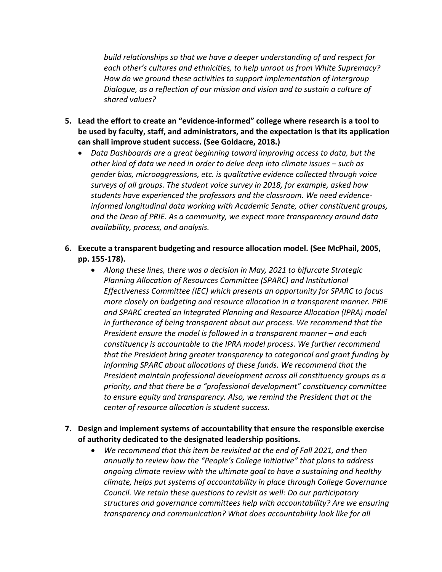*build relationships so that we have a deeper understanding of and respect for each other's cultures and ethnicities, to help unroot us from White Supremacy? How do we ground these activities to support implementation of Intergroup Dialogue, as a reflection of our mission and vision and to sustain a culture of shared values?*

- **5. Lead the effort to create an "evidence-informed" college where research is a tool to be used by faculty, staff, and administrators, and the expectation is that its application can shall improve student success. (See Goldacre, 2018.)**
	- *Data Dashboards are a great beginning toward improving access to data, but the other kind of data we need in order to delve deep into climate issues – such as gender bias, microaggressions, etc. is qualitative evidence collected through voice surveys of all groups. The student voice survey in 2018, for example, asked how students have experienced the professors and the classroom. We need evidenceinformed longitudinal data working with Academic Senate, other constituent groups, and the Dean of PRIE. As a community, we expect more transparency around data availability, process, and analysis.*
- **6. Execute a transparent budgeting and resource allocation model. (See McPhail, 2005, pp. 155-178).**
	- *Along these lines, there was a decision in May, 2021 to bifurcate Strategic Planning Allocation of Resources Committee (SPARC) and Institutional Effectiveness Committee (IEC) which presents an opportunity for SPARC to focus more closely on budgeting and resource allocation in a transparent manner. PRIE and SPARC created an Integrated Planning and Resource Allocation (IPRA) model in furtherance of being transparent about our process. We recommend that the President ensure the model is followed in a transparent manner – and each constituency is accountable to the IPRA model process. We further recommend that the President bring greater transparency to categorical and grant funding by informing SPARC about allocations of these funds. We recommend that the President maintain professional development across all constituency groups as a priority, and that there be a "professional development" constituency committee to ensure equity and transparency. Also, we remind the President that at the center of resource allocation is student success.*
- **7. Design and implement systems of accountability that ensure the responsible exercise of authority dedicated to the designated leadership positions.**
	- *We recommend that this item be revisited at the end of Fall 2021, and then annually to review how the "People's College Initiative" that plans to address ongoing climate review with the ultimate goal to have a sustaining and healthy climate, helps put systems of accountability in place through College Governance Council. We retain these questions to revisit as well: Do our participatory structures and governance committees help with accountability? Are we ensuring transparency and communication? What does accountability look like for all*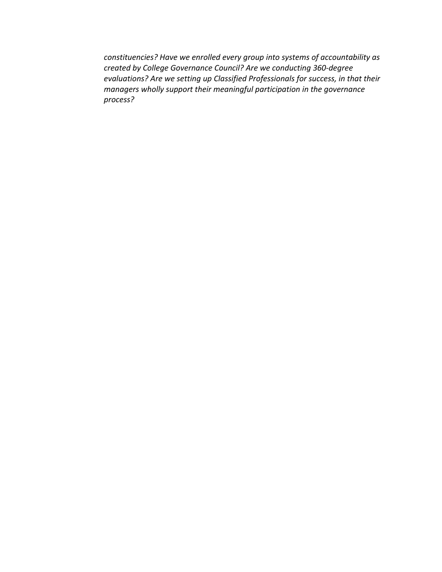*constituencies? Have we enrolled every group into systems of accountability as created by College Governance Council? Are we conducting 360-degree evaluations? Are we setting up Classified Professionals for success, in that their managers wholly support their meaningful participation in the governance process?*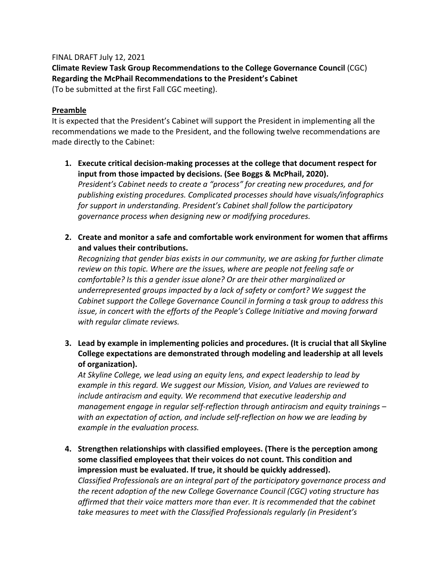### FINAL DRAFT July 12, 2021

**Climate Review Task Group Recommendations to the College Governance Council** (CGC) **Regarding the McPhail Recommendations to the President's Cabinet**

(To be submitted at the first Fall CGC meeting).

### **Preamble**

It is expected that the President's Cabinet will support the President in implementing all the recommendations we made to the President, and the following twelve recommendations are made directly to the Cabinet:

- **1. Execute critical decision-making processes at the college that document respect for input from those impacted by decisions. (See Boggs & McPhail, 2020).** *President's Cabinet needs to create a "process" for creating new procedures, and for publishing existing procedures. Complicated processes should have visuals/infographics for support in understanding. President's Cabinet shall follow the participatory governance process when designing new or modifying procedures.*
- **2. Create and monitor a safe and comfortable work environment for women that affirms and values their contributions.**

*Recognizing that gender bias exists in our community, we are asking for further climate review on this topic. Where are the issues, where are people not feeling safe or comfortable? Is this a gender issue alone? Or are their other marginalized or underrepresented groups impacted by a lack of safety or comfort? We suggest the Cabinet support the College Governance Council in forming a task group to address this issue, in concert with the efforts of the People's College Initiative and moving forward with regular climate reviews.*

**3. Lead by example in implementing policies and procedures. (It is crucial that all Skyline College expectations are demonstrated through modeling and leadership at all levels of organization).**

*At Skyline College, we lead using an equity lens, and expect leadership to lead by example in this regard. We suggest our Mission, Vision, and Values are reviewed to include antiracism and equity. We recommend that executive leadership and management engage in regular self-reflection through antiracism and equity trainings – with an expectation of action, and include self-reflection on how we are leading by example in the evaluation process.*

**4. Strengthen relationships with classified employees. (There is the perception among some classified employees that their voices do not count. This condition and impression must be evaluated. If true, it should be quickly addressed).** *Classified Professionals are an integral part of the participatory governance process and* 

*the recent adoption of the new College Governance Council (CGC) voting structure has affirmed that their voice matters more than ever. It is recommended that the cabinet take measures to meet with the Classified Professionals regularly (in President's*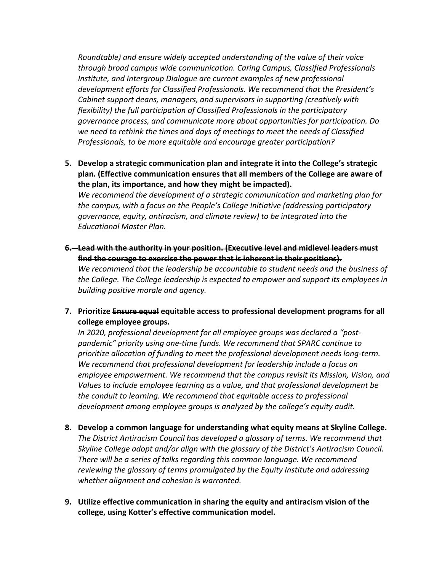*Roundtable) and ensure widely accepted understanding of the value of their voice through broad campus wide communication. Caring Campus, Classified Professionals Institute, and Intergroup Dialogue are current examples of new professional development efforts for Classified Professionals. We recommend that the President's Cabinet support deans, managers, and supervisors in supporting (creatively with flexibility) the full participation of Classified Professionals in the participatory governance process, and communicate more about opportunities for participation. Do we need to rethink the times and days of meetings to meet the needs of Classified Professionals, to be more equitable and encourage greater participation?*

**5. Develop a strategic communication plan and integrate it into the College's strategic plan. (Effective communication ensures that all members of the College are aware of the plan, its importance, and how they might be impacted).**

*We recommend the development of a strategic communication and marketing plan for the campus, with a focus on the People's College Initiative (addressing participatory governance, equity, antiracism, and climate review) to be integrated into the Educational Master Plan.*

- **6. Lead with the authority in your position. (Executive level and midlevel leaders must find the courage to exercise the power that is inherent in their positions).** *We recommend that the leadership be accountable to student needs and the business of the College. The College leadership is expected to empower and support its employees in building positive morale and agency.*
- **7. Prioritize Ensure equal equitable access to professional development programs for all college employee groups.**

*In 2020, professional development for all employee groups was declared a "postpandemic" priority using one-time funds. We recommend that SPARC continue to prioritize allocation of funding to meet the professional development needs long-term. We recommend that professional development for leadership include a focus on employee empowerment. We recommend that the campus revisit its Mission, Vision, and Values to include employee learning as a value, and that professional development be the conduit to learning. We recommend that equitable access to professional development among employee groups is analyzed by the college's equity audit.*

- **8. Develop a common language for understanding what equity means at Skyline College.** *The District Antiracism Council has developed a glossary of terms. We recommend that Skyline College adopt and/or align with the glossary of the District's Antiracism Council. There will be a series of talks regarding this common language. We recommend reviewing the glossary of terms promulgated by the Equity Institute and addressing whether alignment and cohesion is warranted.*
- **9. Utilize effective communication in sharing the equity and antiracism vision of the college, using Kotter's effective communication model.**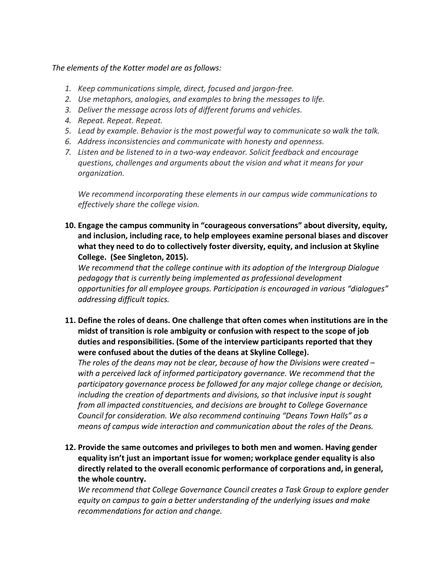### *The elements of the Kotter model are as follows:*

- *1. Keep communications simple, direct, focused and jargon-free.*
- *2. Use metaphors, analogies, and examples to bring the messages to life.*
- *3. Deliver the message across lots of different forums and vehicles.*
- *4. Repeat. Repeat. Repeat.*
- *5. Lead by example. Behavior is the most powerful way to communicate so walk the talk.*
- *6. Address inconsistencies and communicate with honesty and openness.*
- *7. Listen and be listened to in a two-way endeavor. Solicit feedback and encourage questions, challenges and arguments about the vision and what it means for your organization.*

*We recommend incorporating these elements in our campus wide communications to effectively share the college vision.*

**10. Engage the campus community in "courageous conversations" about diversity, equity, and inclusion, including race, to help employees examine personal biases and discover what they need to do to collectively foster diversity, equity, and inclusion at Skyline College. (See Singleton, 2015).** 

*We recommend that the college continue with its adoption of the Intergroup Dialogue pedagogy that is currently being implemented as professional development opportunities for all employee groups. Participation is encouraged in various "dialogues" addressing difficult topics.*

**11. Define the roles of deans. One challenge that often comes when institutions are in the midst of transition is role ambiguity or confusion with respect to the scope of job duties and responsibilities. (Some of the interview participants reported that they were confused about the duties of the deans at Skyline College).**

*The roles of the deans may not be clear, because of how the Divisions were created – with a perceived lack of informed participatory governance. We recommend that the participatory governance process be followed for any major college change or decision, including the creation of departments and divisions, so that inclusive input is sought from all impacted constituencies, and decisions are brought to College Governance Council for consideration. We also recommend continuing "Deans Town Halls" as a means of campus wide interaction and communication about the roles of the Deans.* 

**12. Provide the same outcomes and privileges to both men and women. Having gender equality isn't just an important issue for women; workplace gender equality is also directly related to the overall economic performance of corporations and, in general, the whole country.**

*We recommend that College Governance Council creates a Task Group to explore gender equity on campus to gain a better understanding of the underlying issues and make recommendations for action and change.*